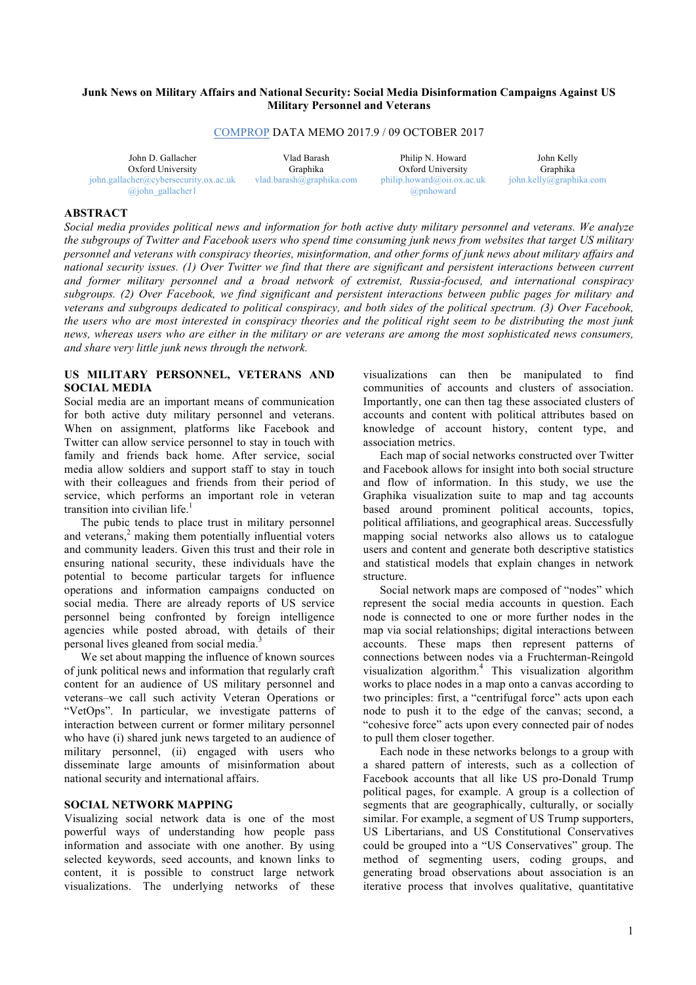# **Junk News on Military Affairs and National Security: Social Media Disinformation Campaigns Against US Military Personnel and Veterans**

## COMPROP DATA MEMO 2017.9 / 09 OCTOBER 2017

| John D. Gallacher<br>Vlad Barash<br>Oxford University<br><b>Graphika</b> |                          | Philip N. Howard<br>Oxford University | John Kelly<br>Graphika  |  |  |
|--------------------------------------------------------------------------|--------------------------|---------------------------------------|-------------------------|--|--|
| $\phi$ <sub>i</sub> ohn.gallacher@cybersecurity.ox.ac.uk                 | vlad.barash@graphika.com | philib, howard@oii.ox.ac.uk           | john.kelly@graphika.com |  |  |
| $\omega$ john gallacher                                                  |                          | ( <i>a</i> ) pnhoward                 |                         |  |  |

# **ABSTRACT**

Social media provides political news and information for both active duty military personnel and veterans. We analyze the subgroups of Twitter and Facebook users who spend time consuming junk news from websites that target US military personnel and veterans with conspiracy theories, misinformation, and other forms of junk news about military affairs and national security issues. (1) Over Twitter we find that there are significant and persistent interactions between current *and former military personnel and a broad network of extremist, Russia-focused, and international conspiracy* subgroups. (2) Over Facebook, we find significant and persistent interactions between public pages for military and veterans and subgroups dedicated to political conspiracy, and both sides of the political spectrum. (3) Over Facebook, the users who are most interested in conspiracy theories and the political right seem to be distributing the most junk news, whereas users who are either in the military or are veterans are among the most sophisticated news consumers, *and share very little junk news through the network.*

## **US MILITARY PERSONNEL, VETERANS AND SOCIAL MEDIA**

Social media are an important means of communication for both active duty military personnel and veterans. When on assignment, platforms like Facebook and Twitter can allow service personnel to stay in touch with family and friends back home. After service, social media allow soldiers and support staff to stay in touch with their colleagues and friends from their period of service, which performs an important role in veteran transition into civilian life. 1

The pubic tends to place trust in military personnel and veterans, <sup>2</sup> making them potentially influential voters and community leaders. Given this trust and their role in ensuring national security, these individuals have the potential to become particular targets for influence operations and information campaigns conducted on social media. There are already reports of US service personnel being confronted by foreign intelligence agencies while posted abroad, with details of their personal lives gleaned from social media.<sup>3</sup>

We set about mapping the influence of known sources of junk political news and information that regularly craft content for an audience of US military personnel and veterans–we call such activity Veteran Operations or "VetOps". In particular, we investigate patterns of interaction between current or former military personnel who have (i) shared junk news targeted to an audience of military personnel, (ii) engaged with users who disseminate large amounts of misinformation about national security and international affairs.

## **SOCIAL NETWORK MAPPING**

Visualizing social network data is one of the most powerful ways of understanding how people pass information and associate with one another. By using selected keywords, seed accounts, and known links to content, it is possible to construct large network visualizations. The underlying networks of these

visualizations can then be manipulated to find communities of accounts and clusters of association. Importantly, one can then tag these associated clusters of accounts and content with political attributes based on knowledge of account history, content type, and association metrics.

Each map of social networks constructed over Twitter and Facebook allows for insight into both social structure and flow of information. In this study, we use the Graphika visualization suite to map and tag accounts based around prominent political accounts, topics, political affiliations, and geographical areas. Successfully mapping social networks also allows us to catalogue users and content and generate both descriptive statistics and statistical models that explain changes in network structure.

Social network maps are composed of "nodes" which represent the social media accounts in question. Each node is connected to one or more further nodes in the map via social relationships; digital interactions between accounts. These maps then represent patterns of connections between nodes via a Fruchterman-Reingold visualization algorithm.<sup>4</sup> This visualization algorithm works to place nodes in a map onto a canvas according to two principles: first, a "centrifugal force" acts upon each node to push it to the edge of the canvas; second, a "cohesive force" acts upon every connected pair of nodes to pull them closer together.

Each node in these networks belongs to a group with a shared pattern of interests, such as a collection of Facebook accounts that all like US pro-Donald Trump political pages, for example. A group is a collection of segments that are geographically, culturally, or socially similar. For example, a segment of US Trump supporters, US Libertarians, and US Constitutional Conservatives could be grouped into a "US Conservatives" group. The method of segmenting users, coding groups, and generating broad observations about association is an iterative process that involves qualitative, quantitative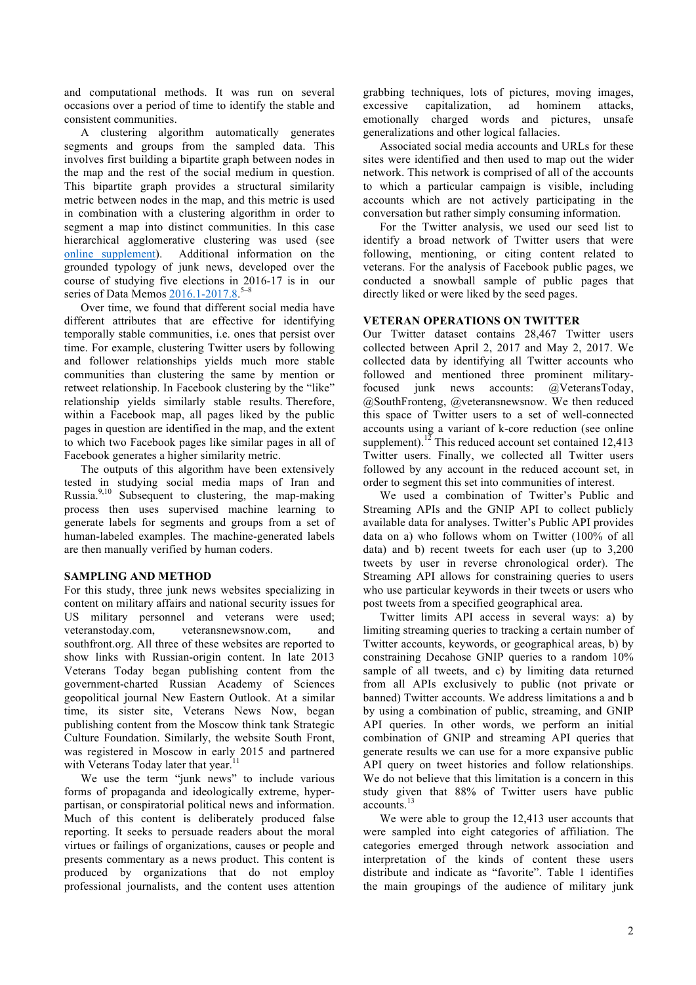and computational methods. It was run on several occasions over a period of time to identify the stable and consistent communities.

A clustering algorithm automatically generates segments and groups from the sampled data. This involves first building a bipartite graph between nodes in the map and the rest of the social medium in question. This bipartite graph provides a structural similarity metric between nodes in the map, and this metric is used in combination with a clustering algorithm in order to segment a map into distinct communities. In this case hierarchical agglomerative clustering was used (see online supplement). Additional information on the grounded typology of junk news, developed over the course of studying five elections in 2016-17 is in our series of Data Memos 2016.1-2017.8.<sup>5-8</sup>

Over time, we found that different social media have different attributes that are effective for identifying temporally stable communities, i.e. ones that persist over time. For example, clustering Twitter users by following and follower relationships yields much more stable communities than clustering the same by mention or retweet relationship. In Facebook clustering by the "like" relationship yields similarly stable results. Therefore, within a Facebook map, all pages liked by the public pages in question are identified in the map, and the extent to which two Facebook pages like similar pages in all of Facebook generates a higher similarity metric.

The outputs of this algorithm have been extensively tested in studying social media maps of Iran and Russia.9,10 Subsequent to clustering, the map-making process then uses supervised machine learning to generate labels for segments and groups from a set of human-labeled examples. The machine-generated labels are then manually verified by human coders.

# **SAMPLING AND METHOD**

For this study, three junk news websites specializing in content on military affairs and national security issues for US military personnel and veterans were used; veteranstoday.com, veteransnewsnow.com, and southfront.org. All three of these websites are reported to show links with Russian-origin content. In late 2013 Veterans Today began publishing content from the government-charted Russian Academy of Sciences geopolitical journal New Eastern Outlook. At a similar time, its sister site, Veterans News Now, began publishing content from the Moscow think tank Strategic Culture Foundation. Similarly, the website South Front, was registered in Moscow in early 2015 and partnered with Veterans Today later that year.

We use the term "junk news" to include various forms of propaganda and ideologically extreme, hyperpartisan, or conspiratorial political news and information. Much of this content is deliberately produced false reporting. It seeks to persuade readers about the moral virtues or failings of organizations, causes or people and presents commentary as a news product. This content is produced by organizations that do not employ professional journalists, and the content uses attention

grabbing techniques, lots of pictures, moving images, excessive capitalization, ad hominem attacks, emotionally charged words and pictures, unsafe generalizations and other logical fallacies.

Associated social media accounts and URLs for these sites were identified and then used to map out the wider network. This network is comprised of all of the accounts to which a particular campaign is visible, including accounts which are not actively participating in the conversation but rather simply consuming information.

For the Twitter analysis, we used our seed list to identify a broad network of Twitter users that were following, mentioning, or citing content related to veterans. For the analysis of Facebook public pages, we conducted a snowball sample of public pages that directly liked or were liked by the seed pages.

### **VETERAN OPERATIONS ON TWITTER**

Our Twitter dataset contains 28,467 Twitter users collected between April 2, 2017 and May 2, 2017. We collected data by identifying all Twitter accounts who followed and mentioned three prominent militaryfocused junk news accounts: @VeteransToday, @SouthFronteng, @veteransnewsnow. We then reduced this space of Twitter users to a set of well-connected accounts using a variant of k-core reduction (see online supplement).<sup>12</sup> This reduced account set contained 12,413 Twitter users. Finally, we collected all Twitter users followed by any account in the reduced account set, in order to segment this set into communities of interest.

We used a combination of Twitter's Public and Streaming APIs and the GNIP API to collect publicly available data for analyses. Twitter's Public API provides data on a) who follows whom on Twitter (100% of all data) and b) recent tweets for each user (up to 3,200 tweets by user in reverse chronological order). The Streaming API allows for constraining queries to users who use particular keywords in their tweets or users who post tweets from a specified geographical area.

Twitter limits API access in several ways: a) by limiting streaming queries to tracking a certain number of Twitter accounts, keywords, or geographical areas, b) by constraining Decahose GNIP queries to a random 10% sample of all tweets, and c) by limiting data returned from all APIs exclusively to public (not private or banned) Twitter accounts. We address limitations a and b by using a combination of public, streaming, and GNIP API queries. In other words, we perform an initial combination of GNIP and streaming API queries that generate results we can use for a more expansive public API query on tweet histories and follow relationships. We do not believe that this limitation is a concern in this study given that 88% of Twitter users have public accounts.<sup>13</sup>

We were able to group the 12,413 user accounts that were sampled into eight categories of affiliation. The categories emerged through network association and interpretation of the kinds of content these users distribute and indicate as "favorite". Table 1 identifies the main groupings of the audience of military junk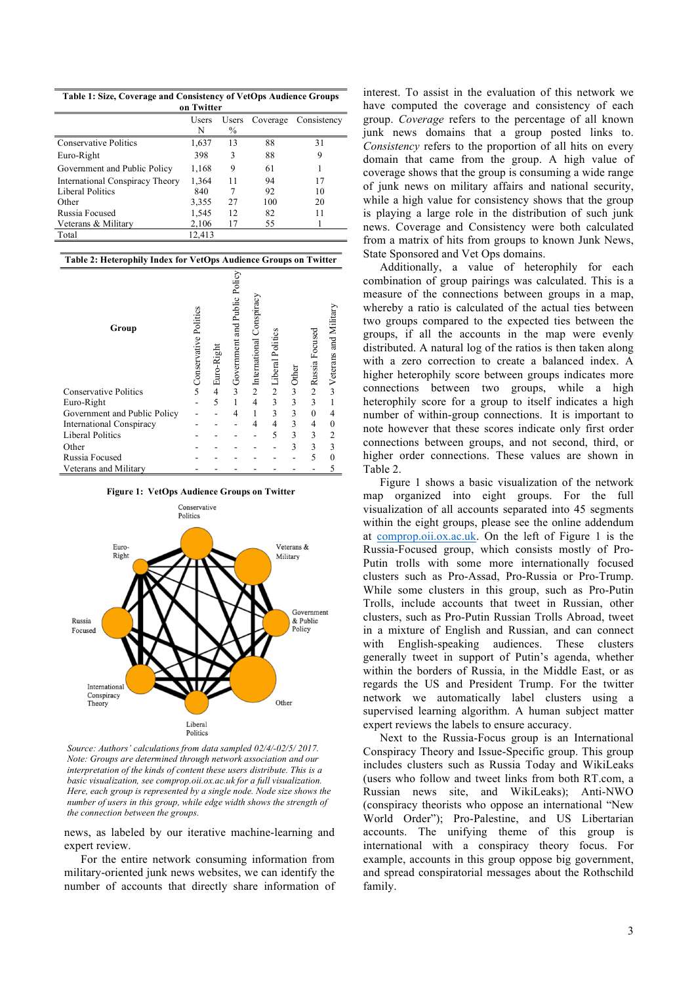| Table 1: Size, Coverage and Consistency of VetOps Audience Groups |  |  |
|-------------------------------------------------------------------|--|--|
|                                                                   |  |  |

| on i witter                     |        |    |                |             |  |  |  |  |
|---------------------------------|--------|----|----------------|-------------|--|--|--|--|
|                                 | Users  |    | Users Coverage | Consistency |  |  |  |  |
|                                 | N      | %  |                |             |  |  |  |  |
| <b>Conservative Politics</b>    | 1,637  | 13 | 88             | 31          |  |  |  |  |
| Euro-Right                      | 398    | 3  | 88             | 9           |  |  |  |  |
| Government and Public Policy    | 1,168  | 9  | 61             |             |  |  |  |  |
| International Conspiracy Theory | 1,364  | 11 | 94             | 17          |  |  |  |  |
| Liberal Politics                | 840    | 7  | 92             | 10          |  |  |  |  |
| Other                           | 3,355  | 27 | 100            | 20          |  |  |  |  |
| Russia Focused                  | 1,545  | 12 | 82             | 11          |  |  |  |  |
| Veterans & Military             | 2,106  | 17 | 55             |             |  |  |  |  |
| Total                           | 12,413 |    |                |             |  |  |  |  |

| Table 2: Heterophily Index for VetOps Audience Groups on Twitter |                          |            |                                |                             |                  |               |                  |                                          |
|------------------------------------------------------------------|--------------------------|------------|--------------------------------|-----------------------------|------------------|---------------|------------------|------------------------------------------|
| Group                                                            | on Conservative Politics | Euro-Right | o Government and Public Policy | Conspiracy<br>lnternational | liberal Politics | $\frac{5}{3}$ | ∾ Russia Focused | $\rightsquigarrow$ Veterans and Military |
| <b>Conservative Politics</b>                                     |                          | 4          |                                |                             |                  |               |                  |                                          |
| Euro-Right                                                       |                          | 5          |                                | $\overline{4}$              | 3                | 3             | 3                |                                          |
| Government and Public Policy                                     |                          |            | 4                              |                             | 3                | 3             | $\theta$         |                                          |
| <b>International Conspiracy</b>                                  |                          |            |                                | 4                           | 4                | 3             | 4                | 0                                        |
| <b>Liberal Politics</b>                                          |                          |            |                                |                             | 5                | 3             | 3                | 2                                        |
| Other                                                            |                          |            |                                |                             |                  | 3             | 3                |                                          |
| Russia Focused                                                   |                          |            |                                |                             |                  |               | 5                |                                          |
| Veterans and Military                                            |                          |            |                                |                             |                  |               |                  |                                          |

**Figure 1: VetOps Audience Groups on Twitter**



*Source: Authors' calculations from data sampled 02/4/-02/5/ 2017. Note: Groups are determined through network association and our interpretation of the kinds of content these users distribute. This is a basic visualization, see comprop.oii.ox.ac.uk for a full visualization. Here, each group is represented by a single node. Node size shows the number of users in this group, while edge width shows the strength of the connection between the groups.*

news, as labeled by our iterative machine-learning and expert review.

For the entire network consuming information from military-oriented junk news websites, we can identify the number of accounts that directly share information of

interest. To assist in the evaluation of this network we have computed the coverage and consistency of each group. *Coverage* refers to the percentage of all known junk news domains that a group posted links to. *Consistency* refers to the proportion of all hits on every domain that came from the group. A high value of coverage shows that the group is consuming a wide range of junk news on military affairs and national security, while a high value for consistency shows that the group is playing a large role in the distribution of such junk news. Coverage and Consistency were both calculated from a matrix of hits from groups to known Junk News, State Sponsored and Vet Ops domains.

Additionally, a value of heterophily for each combination of group pairings was calculated. This is a measure of the connections between groups in a map, whereby a ratio is calculated of the actual ties between two groups compared to the expected ties between the groups, if all the accounts in the map were evenly distributed. A natural log of the ratios is then taken along with a zero correction to create a balanced index. A higher heterophily score between groups indicates more connections between two groups, while a high heterophily score for a group to itself indicates a high number of within-group connections. It is important to note however that these scores indicate only first order connections between groups, and not second, third, or higher order connections. These values are shown in Table 2.

Figure 1 shows a basic visualization of the network map organized into eight groups. For the full visualization of all accounts separated into 45 segments within the eight groups, please see the online addendum at comprop.oii.ox.ac.uk. On the left of Figure 1 is the Russia-Focused group, which consists mostly of Pro-Putin trolls with some more internationally focused clusters such as Pro-Assad, Pro-Russia or Pro-Trump. While some clusters in this group, such as Pro-Putin Trolls, include accounts that tweet in Russian, other clusters, such as Pro-Putin Russian Trolls Abroad, tweet in a mixture of English and Russian, and can connect<br>with English-speaking audiences. These clusters with English-speaking audiences. generally tweet in support of Putin's agenda, whether within the borders of Russia, in the Middle East, or as regards the US and President Trump. For the twitter network we automatically label clusters using a supervised learning algorithm. A human subject matter expert reviews the labels to ensure accuracy.

Next to the Russia-Focus group is an International Conspiracy Theory and Issue-Specific group. This group includes clusters such as Russia Today and WikiLeaks (users who follow and tweet links from both RT.com, a Russian news site, and WikiLeaks); Anti-NWO (conspiracy theorists who oppose an international "New World Order"); Pro-Palestine, and US Libertarian accounts. The unifying theme of this group is international with a conspiracy theory focus. For example, accounts in this group oppose big government, and spread conspiratorial messages about the Rothschild family.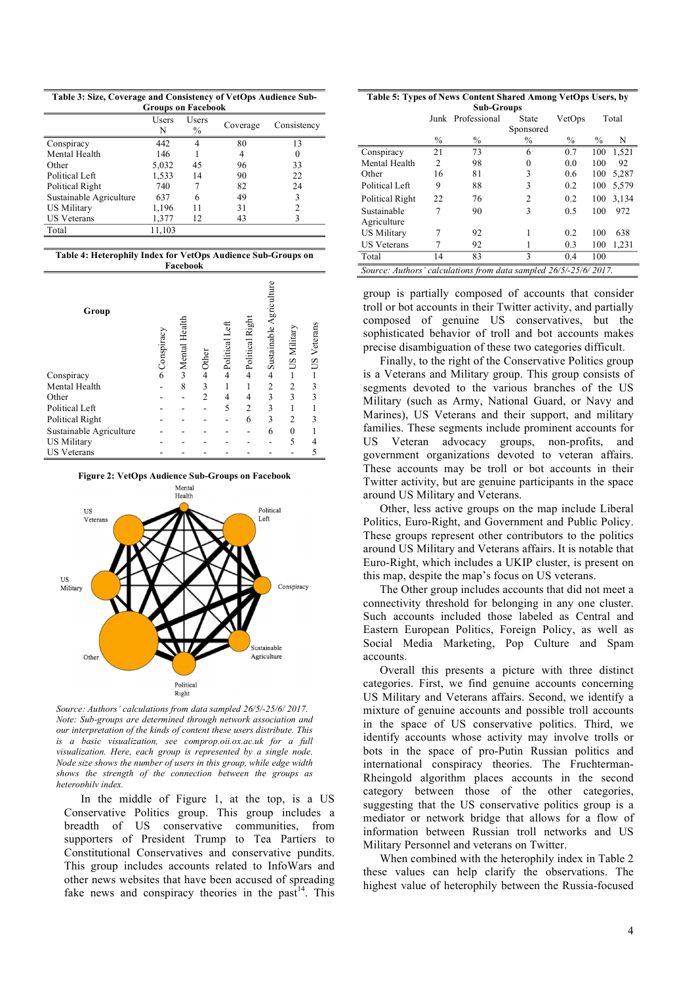**Table 3: Size, Coverage and Consistency of VetOps Audience Sub-Groups on Facebook**

| Sroups on Facebook      |            |                        |          |             |  |  |  |  |
|-------------------------|------------|------------------------|----------|-------------|--|--|--|--|
|                         | Users<br>N | Users<br>$\frac{0}{0}$ | Coverage | Consistency |  |  |  |  |
| Conspiracy              | 442        | 4                      | 80       | 13          |  |  |  |  |
| Mental Health           | 146        |                        | 4        |             |  |  |  |  |
| Other                   | 5,032      | 45                     | 96       | 33          |  |  |  |  |
| Political Left          | 1,533      | 14                     | 90       | 22          |  |  |  |  |
| Political Right         | 740        |                        | 82       | 24          |  |  |  |  |
| Sustainable Agriculture | 637        | 6                      | 49       |             |  |  |  |  |
| US Military             | 1,196      | 11                     | 31       |             |  |  |  |  |
| <b>US Veterans</b>      | 1,377      | 12                     | 43       |             |  |  |  |  |
| Total                   | 11,103     |                        |          |             |  |  |  |  |
|                         |            |                        |          |             |  |  |  |  |

**Table 4: Heterophily Index for VetOps Audience Sub-Groups on Facebook**

| Group                   | Conspiracy | w Mental Health | Other          | Left<br>Political | Political Right | Sustainable Agriculture | US Military    | US Veterans |
|-------------------------|------------|-----------------|----------------|-------------------|-----------------|-------------------------|----------------|-------------|
| Conspiracy              | 6          |                 | $\overline{4}$ | $\overline{4}$    | $\overline{4}$  | $\overline{4}$          |                |             |
| Mental Health           |            | 8               | 3              |                   |                 | $\overline{2}$          | $\overline{2}$ | 3           |
| Other                   |            |                 | $\overline{2}$ | 4                 | 4               | 3                       | 3              | 3           |
| Political Left          |            |                 |                | 5                 | $\overline{c}$  | 3                       |                |             |
| Political Right         |            |                 |                |                   | 6               | 3                       | $\overline{2}$ | 3           |
| Sustainable Agriculture |            |                 |                |                   |                 | 6                       | $\mathbf{0}$   |             |
| <b>US Military</b>      |            |                 |                |                   |                 |                         | 5              |             |
| <b>US Veterans</b>      |            |                 |                |                   |                 |                         |                |             |

**Figure 2: VetOps Audience Sub-Groups on Facebook**



*Source: Authors' calculations from data sampled 26/5/-25/6/ 2017. Note: Sub-groups are determined through network association and our interpretation of the kinds of content these users distribute. This is a basic visualization, see comprop.oii.ox.ac.uk for a full visualization. Here, each group is represented by a single node. Node size shows the number of users in this group, while edge width shows the strength of the connection between the groups as heterophily index.*

In the middle of Figure 1, at the top, is a US Conservative Politics group. This group includes a breadth of US conservative communities, from supporters of President Trump to Tea Partiers to Constitutional Conservatives and conservative pundits. This group includes accounts related to InfoWars and other news websites that have been accused of spreading fake news and conspiracy theories in the past<sup>14</sup>. This

**Table 5: Types of News Content Shared Among VetOps Users, by Sub-Groups**

| was oroaps                                                       |               |                   |                |               |               |       |  |  |
|------------------------------------------------------------------|---------------|-------------------|----------------|---------------|---------------|-------|--|--|
|                                                                  |               | Junk Professional | State          | VetOps        |               | Total |  |  |
|                                                                  |               |                   | Sponsored      |               |               |       |  |  |
|                                                                  | $\frac{0}{0}$ | $\frac{0}{0}$     | %              | $\frac{0}{0}$ | $\frac{0}{0}$ | N     |  |  |
| Conspiracy                                                       | 21            | 73                | 6              | 0.7           | 100           | 1,521 |  |  |
| Mental Health                                                    | 2             | 98                | 0              | 0.0           | 100           | 92    |  |  |
| Other                                                            | 16            | 81                | 3              | 0.6           | 100           | 5,287 |  |  |
| Political Left                                                   | 9             | 88                | 3              | 0.2           | 100           | 5,579 |  |  |
| Political Right                                                  | 22            | 76                | $\overline{c}$ | 0.2           | 100           | 3,134 |  |  |
| Sustainable                                                      |               | 90                | 3              | 0.5           | 100           | 972   |  |  |
| Agriculture                                                      |               |                   |                |               |               |       |  |  |
| US Military                                                      |               | 92                |                | 0.2           | 100           | 638   |  |  |
| <b>US Veterans</b>                                               |               | 92                |                | 0.3           | 100           | 1,231 |  |  |
| Total                                                            | 14            | 83                | 3              | 0.4           | 100           |       |  |  |
| Source: Authors' calculations from data sampled 26/5/-25/6/2017. |               |                   |                |               |               |       |  |  |

group is partially composed of accounts that consider troll or bot accounts in their Twitter activity, and partially composed of genuine US conservatives, but the sophisticated behavior of troll and bot accounts makes precise disambiguation of these two categories difficult.

Finally, to the right of the Conservative Politics group is a Veterans and Military group. This group consists of segments devoted to the various branches of the US Military (such as Army, National Guard, or Navy and Marines), US Veterans and their support, and military families. These segments include prominent accounts for US Veteran advocacy groups, non-profits, and government organizations devoted to veteran affairs. These accounts may be troll or bot accounts in their Twitter activity, but are genuine participants in the space around US Military and Veterans.

Other, less active groups on the map include Liberal Politics, Euro-Right, and Government and Public Policy. These groups represent other contributors to the politics around US Military and Veterans affairs. It is notable that Euro-Right, which includes a UKIP cluster, is present on this map, despite the map's focus on US veterans.

The Other group includes accounts that did not meet a connectivity threshold for belonging in any one cluster. Such accounts included those labeled as Central and Eastern European Politics, Foreign Policy, as well as Social Media Marketing, Pop Culture and Spam accounts.

Overall this presents a picture with three distinct categories. First, we find genuine accounts concerning US Military and Veterans affairs. Second, we identify a mixture of genuine accounts and possible troll accounts in the space of US conservative politics. Third, we identify accounts whose activity may involve trolls or bots in the space of pro-Putin Russian politics and international conspiracy theories. The Fruchterman-Rheingold algorithm places accounts in the second category between those of the other categories, suggesting that the US conservative politics group is a mediator or network bridge that allows for a flow of information between Russian troll networks and US Military Personnel and veterans on Twitter.

When combined with the heterophily index in Table 2 these values can help clarify the observations. The highest value of heterophily between the Russia-focused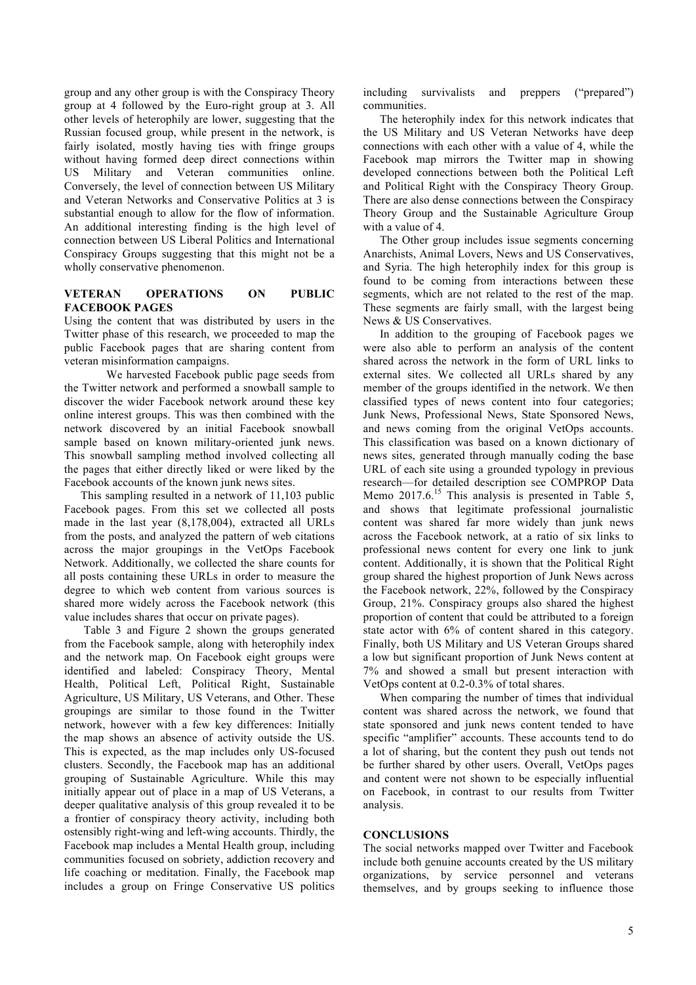group and any other group is with the Conspiracy Theory group at 4 followed by the Euro-right group at 3. All other levels of heterophily are lower, suggesting that the Russian focused group, while present in the network, is fairly isolated, mostly having ties with fringe groups without having formed deep direct connections within US Military and Veteran communities online. Conversely, the level of connection between US Military and Veteran Networks and Conservative Politics at 3 is substantial enough to allow for the flow of information. An additional interesting finding is the high level of connection between US Liberal Politics and International Conspiracy Groups suggesting that this might not be a wholly conservative phenomenon.

# **VETERAN OPERATIONS ON PUBLIC FACEBOOK PAGES**

Using the content that was distributed by users in the Twitter phase of this research, we proceeded to map the public Facebook pages that are sharing content from veteran misinformation campaigns.

We harvested Facebook public page seeds from the Twitter network and performed a snowball sample to discover the wider Facebook network around these key online interest groups. This was then combined with the network discovered by an initial Facebook snowball sample based on known military-oriented junk news. This snowball sampling method involved collecting all the pages that either directly liked or were liked by the Facebook accounts of the known junk news sites.

This sampling resulted in a network of 11,103 public Facebook pages. From this set we collected all posts made in the last year (8,178,004), extracted all URLs from the posts, and analyzed the pattern of web citations across the major groupings in the VetOps Facebook Network. Additionally, we collected the share counts for all posts containing these URLs in order to measure the degree to which web content from various sources is shared more widely across the Facebook network (this value includes shares that occur on private pages).

Table 3 and Figure 2 shown the groups generated from the Facebook sample, along with heterophily index and the network map. On Facebook eight groups were identified and labeled: Conspiracy Theory, Mental Health, Political Left, Political Right, Sustainable Agriculture, US Military, US Veterans, and Other. These groupings are similar to those found in the Twitter network, however with a few key differences: Initially the map shows an absence of activity outside the US. This is expected, as the map includes only US-focused clusters. Secondly, the Facebook map has an additional grouping of Sustainable Agriculture. While this may initially appear out of place in a map of US Veterans, a deeper qualitative analysis of this group revealed it to be a frontier of conspiracy theory activity, including both ostensibly right-wing and left-wing accounts. Thirdly, the Facebook map includes a Mental Health group, including communities focused on sobriety, addiction recovery and life coaching or meditation. Finally, the Facebook map includes a group on Fringe Conservative US politics including survivalists and preppers ("prepared") communities.

The heterophily index for this network indicates that the US Military and US Veteran Networks have deep connections with each other with a value of 4, while the Facebook map mirrors the Twitter map in showing developed connections between both the Political Left and Political Right with the Conspiracy Theory Group. There are also dense connections between the Conspiracy Theory Group and the Sustainable Agriculture Group with a value of 4.

The Other group includes issue segments concerning Anarchists, Animal Lovers, News and US Conservatives, and Syria. The high heterophily index for this group is found to be coming from interactions between these segments, which are not related to the rest of the map. These segments are fairly small, with the largest being News & US Conservatives.

In addition to the grouping of Facebook pages we were also able to perform an analysis of the content shared across the network in the form of URL links to external sites. We collected all URLs shared by any member of the groups identified in the network. We then classified types of news content into four categories; Junk News, Professional News, State Sponsored News, and news coming from the original VetOps accounts. This classification was based on a known dictionary of news sites, generated through manually coding the base URL of each site using a grounded typology in previous research—for detailed description see COMPROP Data Memo 2017.6.<sup>15</sup> This analysis is presented in Table 5, and shows that legitimate professional journalistic content was shared far more widely than junk news across the Facebook network, at a ratio of six links to professional news content for every one link to junk content. Additionally, it is shown that the Political Right group shared the highest proportion of Junk News across the Facebook network, 22%, followed by the Conspiracy Group, 21%. Conspiracy groups also shared the highest proportion of content that could be attributed to a foreign state actor with 6% of content shared in this category. Finally, both US Military and US Veteran Groups shared a low but significant proportion of Junk News content at 7% and showed a small but present interaction with VetOps content at 0.2-0.3% of total shares.

When comparing the number of times that individual content was shared across the network, we found that state sponsored and junk news content tended to have specific "amplifier" accounts. These accounts tend to do a lot of sharing, but the content they push out tends not be further shared by other users. Overall, VetOps pages and content were not shown to be especially influential on Facebook, in contrast to our results from Twitter analysis.

#### **CONCLUSIONS**

The social networks mapped over Twitter and Facebook include both genuine accounts created by the US military organizations, by service personnel and veterans themselves, and by groups seeking to influence those